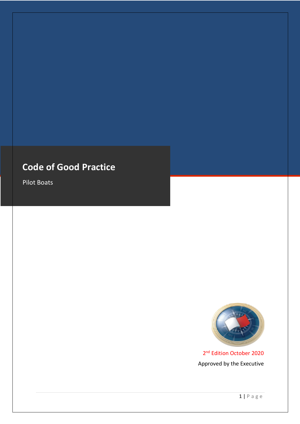# **Code of Good Practice**

Pilot Boats



2<sup>nd</sup> Edition October 2020 Approved by the Executive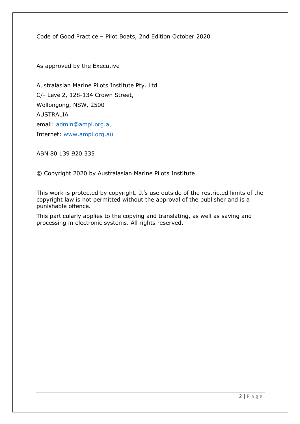Code of Good Practice – Pilot Boats, 2nd Edition October 2020

As approved by the Executive

Australasian Marine Pilots Institute Pty. Ltd C/- Level2, 128-134 Crown Street, Wollongong, NSW, 2500 AUSTRALIA email: admin@ampi.org.au Internet: www.ampi.org.au

ABN 80 139 920 335

© Copyright 2020 by Australasian Marine Pilots Institute

This work is protected by copyright. It's use outside of the restricted limits of the copyright law is not permitted without the approval of the publisher and is a punishable offence.

This particularly applies to the copying and translating, as well as saving and processing in electronic systems. All rights reserved.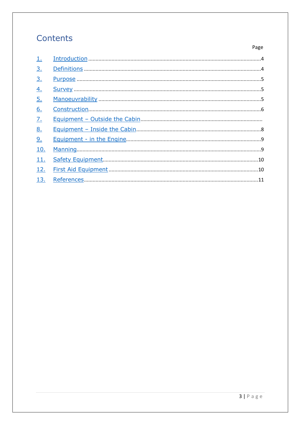# Contents

Page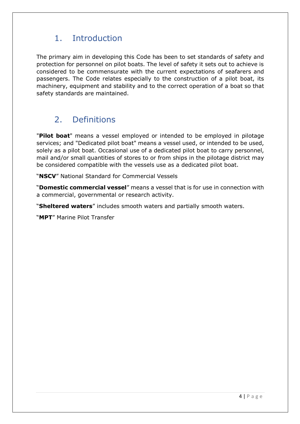# 1. Introduction

The primary aim in developing this Code has been to set standards of safety and protection for personnel on pilot boats. The level of safety it sets out to achieve is considered to be commensurate with the current expectations of seafarers and passengers. The Code relates especially to the construction of a pilot boat, its machinery, equipment and stability and to the correct operation of a boat so that safety standards are maintained.

# 2. Definitions

"**Pilot boat**" means a vessel employed or intended to be employed in pilotage services; and "Dedicated pilot boat" means a vessel used, or intended to be used, solely as a pilot boat. Occasional use of a dedicated pilot boat to carry personnel, mail and/or small quantities of stores to or from ships in the pilotage district may be considered compatible with the vessels use as a dedicated pilot boat.

"**NSCV**" National Standard for Commercial Vessels

"**Domestic commercial vessel**" means a vessel that is for use in connection with a commercial, governmental or research activity.

"**Sheltered waters**" includes smooth waters and partially smooth waters.

"**MPT**" Marine Pilot Transfer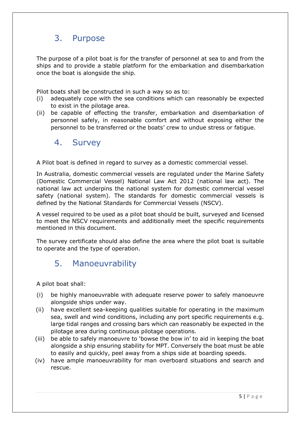# 3. Purpose

The purpose of a pilot boat is for the transfer of personnel at sea to and from the ships and to provide a stable platform for the embarkation and disembarkation once the boat is alongside the ship.

Pilot boats shall be constructed in such a way so as to:

- (i) adequately cope with the sea conditions which can reasonably be expected to exist in the pilotage area.
- (ii) be capable of effecting the transfer, embarkation and disembarkation of personnel safely, in reasonable comfort and without exposing either the personnel to be transferred or the boats' crew to undue stress or fatigue.

#### 4. Survey

A Pilot boat is defined in regard to survey as a domestic commercial vessel.

In Australia, domestic commercial vessels are regulated under the Marine Safety (Domestic Commercial Vessel) National Law Act 2012 (national law act). The national law act underpins the national system for domestic commercial vessel safety (national system). The standards for domestic commercial vessels is defined by the National Standards for Commercial Vessels (NSCV).

A vessel required to be used as a pilot boat should be built, surveyed and licensed to meet the NSCV requirements and additionally meet the specific requirements mentioned in this document.

The survey certificate should also define the area where the pilot boat is suitable to operate and the type of operation.

### 5. Manoeuvrability

A pilot boat shall:

- (i) be highly manoeuvrable with adequate reserve power to safely manoeuvre alongside ships under way.
- (ii) have excellent sea-keeping qualities suitable for operating in the maximum sea, swell and wind conditions, including any port specific requirements e.g. large tidal ranges and crossing bars which can reasonably be expected in the pilotage area during continuous pilotage operations.
- (iii) be able to safely manoeuvre to 'bowse the bow in' to aid in keeping the boat alongside a ship ensuring stability for MPT. Conversely the boat must be able to easily and quickly, peel away from a ships side at boarding speeds.
- (iv) have ample manoeuvrability for man overboard situations and search and rescue.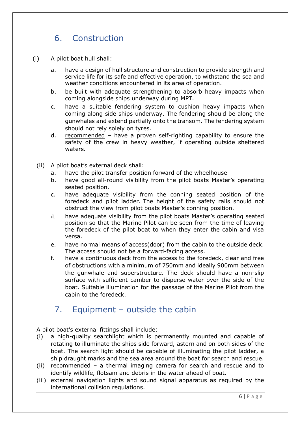# 6. Construction

- (i) A pilot boat hull shall:
	- a. have a design of hull structure and construction to provide strength and service life for its safe and effective operation, to withstand the sea and weather conditions encountered in its area of operation.
	- b. be built with adequate strengthening to absorb heavy impacts when coming alongside ships underway during MPT.
	- c. have a suitable fendering system to cushion heavy impacts when coming along side ships underway. The fendering should be along the gunwhales and extend partially onto the transom. The fendering system should not rely solely on tyres.
	- d. recommended have a proven self-righting capability to ensure the safety of the crew in heavy weather, if operating outside sheltered waters.
	- (ii) A pilot boat's external deck shall:
		- a. have the pilot transfer position forward of the wheelhouse
		- b. have good all-round visibility from the pilot boats Master's operating seated position.
		- c. have adequate visibility from the conning seated position of the foredeck and pilot ladder. The height of the safety rails should not obstruct the view from pilot boats Master's conning position.
		- d. have adequate visibility from the pilot boats Master's operating seated position so that the Marine Pilot can be seen from the time of leaving the foredeck of the pilot boat to when they enter the cabin and visa versa.
		- e. have normal means of access(door) from the cabin to the outside deck. The access should not be a forward-facing access.
		- f. have a continuous deck from the access to the foredeck, clear and free of obstructions with a minimum of 750mm and ideally 900mm between the gunwhale and superstructure. The deck should have a non-slip surface with sufficient camber to disperse water over the side of the boat. Suitable illumination for the passage of the Marine Pilot from the cabin to the foredeck.

#### 7. Equipment – outside the cabin

A pilot boat's external fittings shall include:

- (i) a high-quality searchlight which is permanently mounted and capable of rotating to illuminate the ships side forward, astern and on both sides of the boat. The search light should be capable of illuminating the pilot ladder, a ship draught marks and the sea area around the boat for search and rescue.
- (ii) recommended a thermal imaging camera for search and rescue and to identify wildlife, flotsam and debris in the water ahead of boat.
- (iii) external navigation lights and sound signal apparatus as required by the international collision regulations.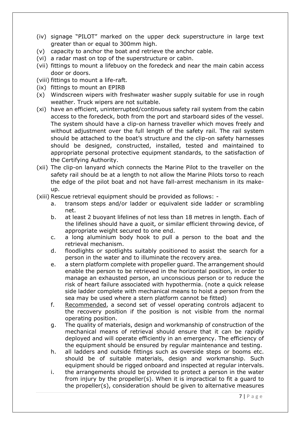- (iv) signage "PILOT" marked on the upper deck superstructure in large text greater than or equal to 300mm high.
- (v) capacity to anchor the boat and retrieve the anchor cable.
- (vi) a radar mast on top of the superstructure or cabin.
- (vii) fittings to mount a lifebuoy on the foredeck and near the main cabin access door or doors.
- (viii) fittings to mount a life-raft.
- (ix) fittings to mount an EPIRB
- (x) Windscreen wipers with freshwater washer supply suitable for use in rough weather. Truck wipers are not suitable.
- (xi) have an efficient, uninterrupted/continuous safety rail system from the cabin access to the foredeck, both from the port and starboard sides of the vessel. The system should have a clip-on harness traveller which moves freely and without adjustment over the full length of the safety rail. The rail system should be attached to the boat's structure and the clip-on safety harnesses should be designed, constructed, installed, tested and maintained to appropriate personal protective equipment standards, to the satisfaction of the Certifying Authority.
- (xii) The clip-on lanyard which connects the Marine Pilot to the traveller on the safety rail should be at a length to not allow the Marine Pilots torso to reach the edge of the pilot boat and not have fall-arrest mechanism in its makeup.
- (xiii) Rescue retrieval equipment should be provided as follows:
	- a. transom steps and/or ladder or equivalent side ladder or scrambling net.
	- b. at least 2 buoyant lifelines of not less than 18 metres in length. Each of the lifelines should have a quoit, or similar efficient throwing device, of appropriate weight secured to one end.
	- c. a long aluminium body hook to pull a person to the boat and the retrieval mechanism.
	- d. floodlights or spotlights suitably positioned to assist the search for a person in the water and to illuminate the recovery area.
	- e. a stern platform complete with propeller guard. The arrangement should enable the person to be retrieved in the horizontal position, in order to manage an exhausted person, an unconscious person or to reduce the risk of heart failure associated with hypothermia. (note a quick release side ladder complete with mechanical means to hoist a person from the sea may be used where a stern platform cannot be fitted)
	- f. Recommended, a second set of vessel operating controls adjacent to the recovery position if the position is not visible from the normal operating position.
	- g. The quality of materials, design and workmanship of construction of the mechanical means of retrieval should ensure that it can be rapidly deployed and will operate efficiently in an emergency. The efficiency of the equipment should be ensured by regular maintenance and testing.
	- h. all ladders and outside fittings such as overside steps or booms etc. should be of suitable materials, design and workmanship. Such equipment should be rigged onboard and inspected at regular intervals.
	- i. the arrangements should be provided to protect a person in the water from injury by the propeller(s). When it is impractical to fit a guard to the propeller(s), consideration should be given to alternative measures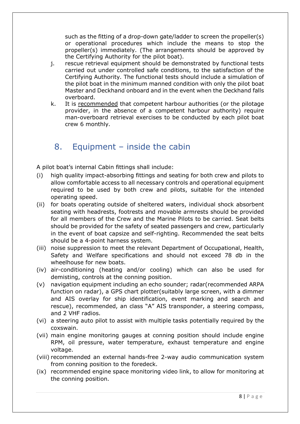such as the fitting of a drop-down gate/ladder to screen the propeller(s) or operational procedures which include the means to stop the propeller(s) immediately. (The arrangements should be approved by the Certifying Authority for the pilot boat).

- j. rescue retrieval equipment should be demonstrated by functional tests carried out under controlled safe conditions, to the satisfaction of the Certifying Authority. The functional tests should include a simulation of the pilot boat in the minimum manned condition with only the pilot boat Master and Deckhand onboard and in the event when the Deckhand falls overboard.
- k. It is recommended that competent harbour authorities (or the pilotage provider, in the absence of a competent harbour authority) require man-overboard retrieval exercises to be conducted by each pilot boat crew 6 monthly.

## 8. Equipment – inside the cabin

A pilot boat's internal Cabin fittings shall include:

- (i) high quality impact-absorbing fittings and seating for both crew and pilots to allow comfortable access to all necessary controls and operational equipment required to be used by both crew and pilots, suitable for the intended operating speed.
- (ii) for boats operating outside of sheltered waters, individual shock absorbent seating with headrests, footrests and movable armrests should be provided for all members of the Crew and the Marine Pilots to be carried. Seat belts should be provided for the safety of seated passengers and crew, particularly in the event of boat capsize and self-righting. Recommended the seat belts should be a 4-point harness system.
- (iii) noise suppression to meet the relevant Department of Occupational, Health, Safety and Welfare specifications and should not exceed 78 db in the wheelhouse for new boats.
- (iv) air-conditioning (heating and/or cooling) which can also be used for demisting, controls at the conning position.
- (v) navigation equipment including an echo sounder; radar(recommended ARPA function on radar), a GPS chart plotter(suitably large screen, with a dimmer and AIS overlay for ship identification, event marking and search and rescue), recommended, an class "A" AIS transponder, a steering compass, and 2 VHF radios.
- (vi) a steering auto pilot to assist with multiple tasks potentially required by the coxswain.
- (vii) main engine monitoring gauges at conning position should include engine RPM, oil pressure, water temperature, exhaust temperature and engine voltage.
- (viii) recommended an external hands-free 2-way audio communication system from conning position to the foredeck.
- (ix) recommended engine space monitoring video link, to allow for monitoring at the conning position.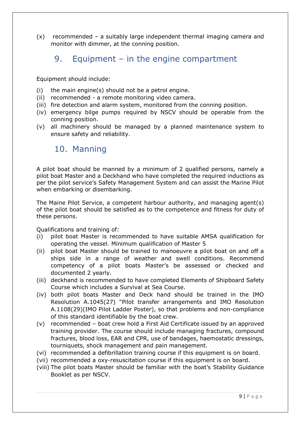(x) recommended – a suitably large independent thermal imaging camera and monitor with dimmer, at the conning position.

### 9. Equipment – in the engine compartment

Equipment should include:

- (i) the main engine(s) should not be a petrol engine.
- (ii) recommended a remote monitoring video camera.
- (iii) fire detection and alarm system, monitored from the conning position.
- (iv) emergency bilge pumps required by NSCV should be operable from the conning position.
- (v) all machinery should be managed by a planned maintenance system to ensure safety and reliability.

#### 10. Manning

A pilot boat should be manned by a minimum of 2 qualified persons, namely a pilot boat Master and a Deckhand who have completed the required inductions as per the pilot service's Safety Management System and can assist the Marine Pilot when embarking or disembarking.

The Maine Pilot Service, a competent harbour authority, and managing agent(s) of the pilot boat should be satisfied as to the competence and fitness for duty of these persons.

Qualifications and training of:

- (i) pilot boat Master is recommended to have suitable AMSA qualification for operating the vessel. Minimum qualification of Master 5
- (ii) pilot boat Master should be trained to manoeuvre a pilot boat on and off a ships side in a range of weather and swell conditions. Recommend competency of a pilot boats Master's be assessed or checked and documented 2 yearly.
- (iii) deckhand is recommended to have completed Elements of Shipboard Safety Course which includes a Survival at Sea Course.
- (iv) both pilot boats Master and Deck hand should be trained in the IMO Resolution A.1045(27) "Pilot transfer arrangements and IMO Resolution A.1108(29)(IMO Pilot Ladder Poster), so that problems and non-compliance of this standard identifiable by the boat crew.
- (v) recommended boat crew hold a First Aid Certificate issued by an approved training provider. The course should include managing fractures, compound fractures, blood loss, EAR and CPR, use of bandages, haemostatic dressings, tourniquets, shock management and pain management.
- (vi) recommended a defibrillation training course if this equipment is on board.
- (vii) recommended a oxy-resuscitation course if this equipment is on board.
- (viii) The pilot boats Master should be familiar with the boat's Stability Guidance Booklet as per NSCV.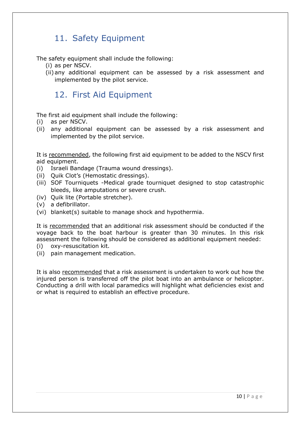## 11. Safety Equipment

The safety equipment shall include the following:

- (i) as per NSCV.
- (ii) any additional equipment can be assessed by a risk assessment and implemented by the pilot service.

### 12. First Aid Equipment

The first aid equipment shall include the following:

- (i) as per NSCV.
- (ii) any additional equipment can be assessed by a risk assessment and implemented by the pilot service.

It is recommended, the following first aid equipment to be added to the NSCV first aid equipment.

- (i) Israeli Bandage (Trauma wound dressings).
- (ii) Quik Clot's (Hemostatic dressings).
- (iii) SOF Tourniquets -Medical grade tourniquet designed to stop catastrophic bleeds, like amputations or severe crush.
- (iv) Quik lite (Portable stretcher).
- (v) a defibrillator.
- (vi) blanket(s) suitable to manage shock and hypothermia.

It is recommended that an additional risk assessment should be conducted if the voyage back to the boat harbour is greater than 30 minutes. In this risk assessment the following should be considered as additional equipment needed: (i) oxy-resuscitation kit.

- 
- (ii) pain management medication.

It is also recommended that a risk assessment is undertaken to work out how the injured person is transferred off the pilot boat into an ambulance or helicopter. Conducting a drill with local paramedics will highlight what deficiencies exist and or what is required to establish an effective procedure.